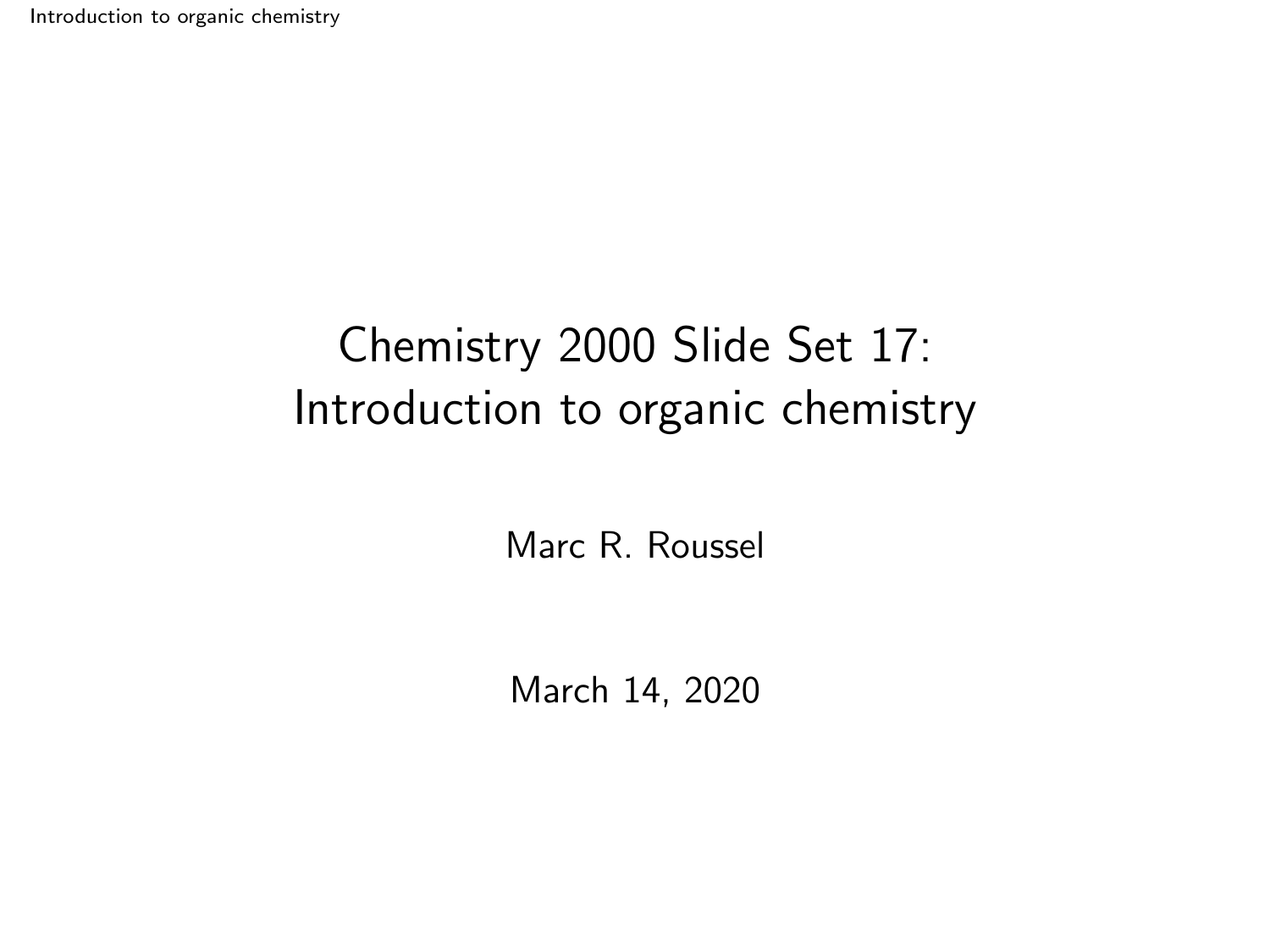<span id="page-0-0"></span>[Introduction to organic chemistry](#page-23-0)

# Chemistry 2000 Slide Set 17: Introduction to organic chemistry

Marc R. Roussel

March 14, 2020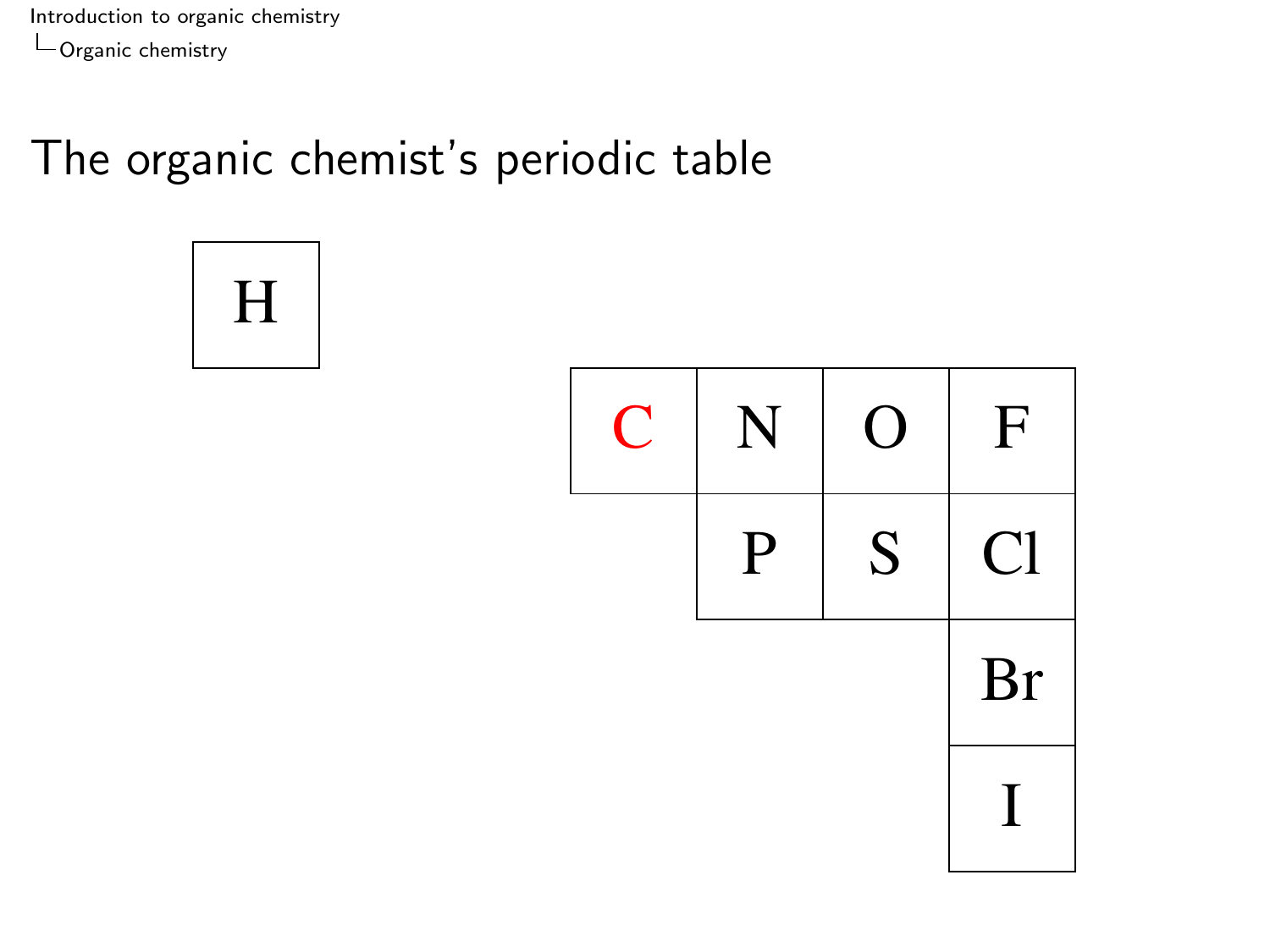<span id="page-1-0"></span>[Introduction to organic chemistry](#page-0-0) [Organic chemistry](#page-1-0)

### The organic chemist's periodic table

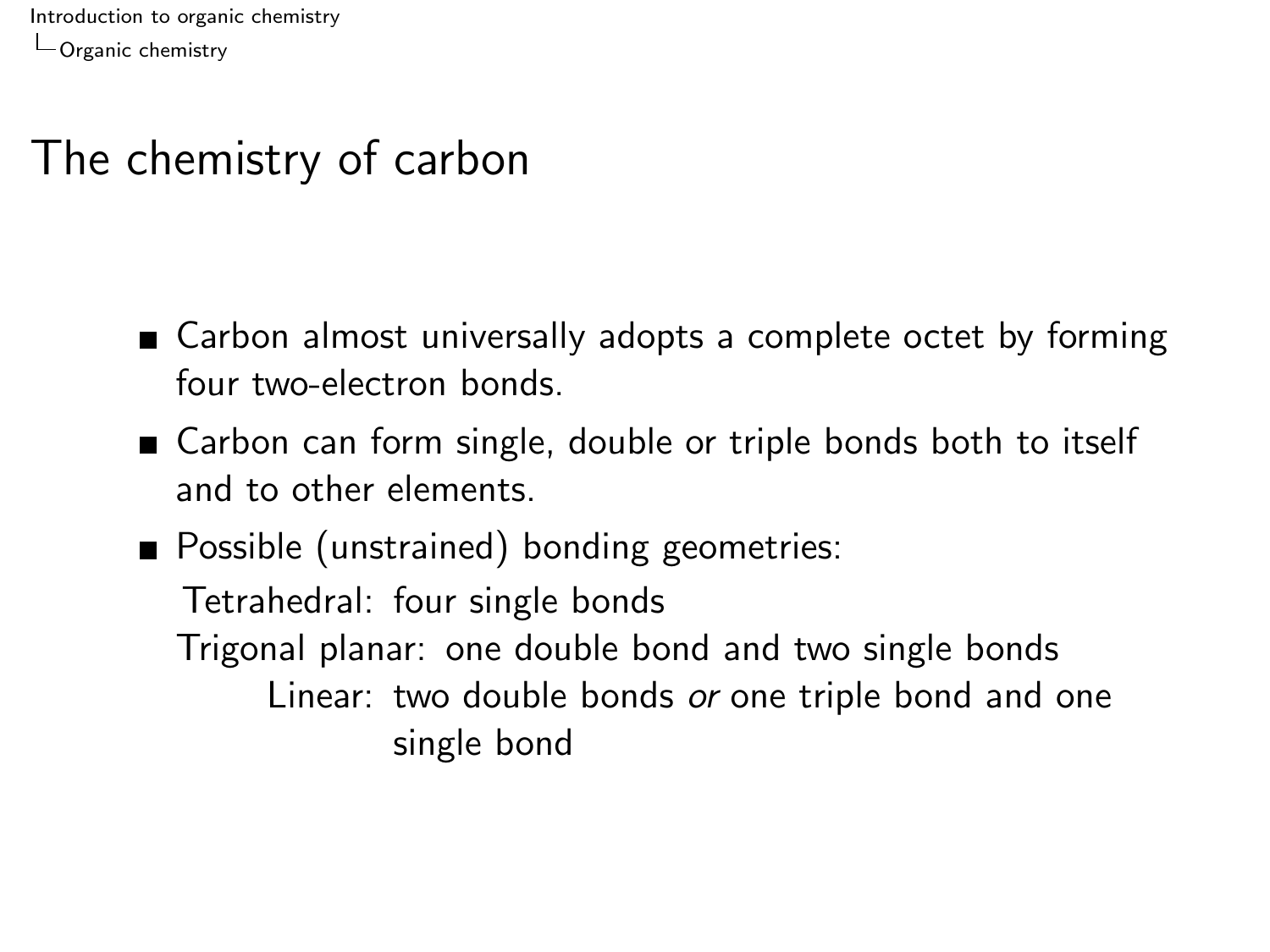[Introduction to organic chemistry](#page-0-0) [Organic chemistry](#page-1-0)

#### The chemistry of carbon

- Carbon almost universally adopts a complete octet by forming four two-electron bonds.
- Carbon can form single, double or triple bonds both to itself and to other elements.
- **Possible (unstrained) bonding geometries:** Tetrahedral: four single bonds Trigonal planar: one double bond and two single bonds Linear: two double bonds or one triple bond and one single bond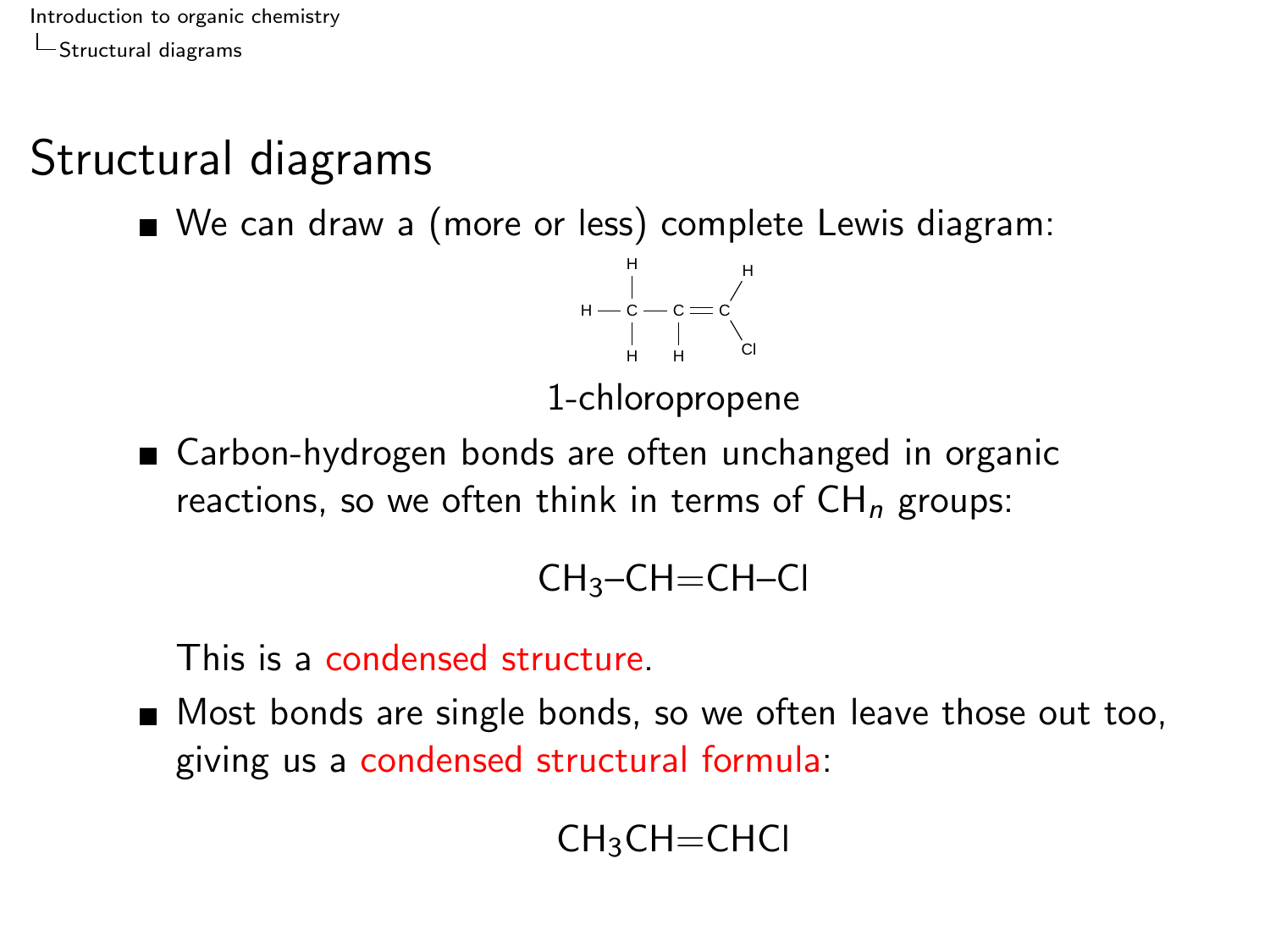# <span id="page-3-0"></span>Structural diagrams

■ We can draw a (more or less) complete Lewis diagram:



1-chloropropene

■ Carbon-hydrogen bonds are often unchanged in organic reactions, so we often think in terms of  $CH_n$  groups:

$$
\mathsf{CH}_{3}\text{-}\mathsf{CH}\text{=} \mathsf{CH}\text{-}\mathsf{Cl}
$$

This is a condensed structure.

Most bonds are single bonds, so we often leave those out too, giving us a condensed structural formula:

$$
\mathsf{CH}_{3}\mathsf{CH}\mathsf{=CHCl}
$$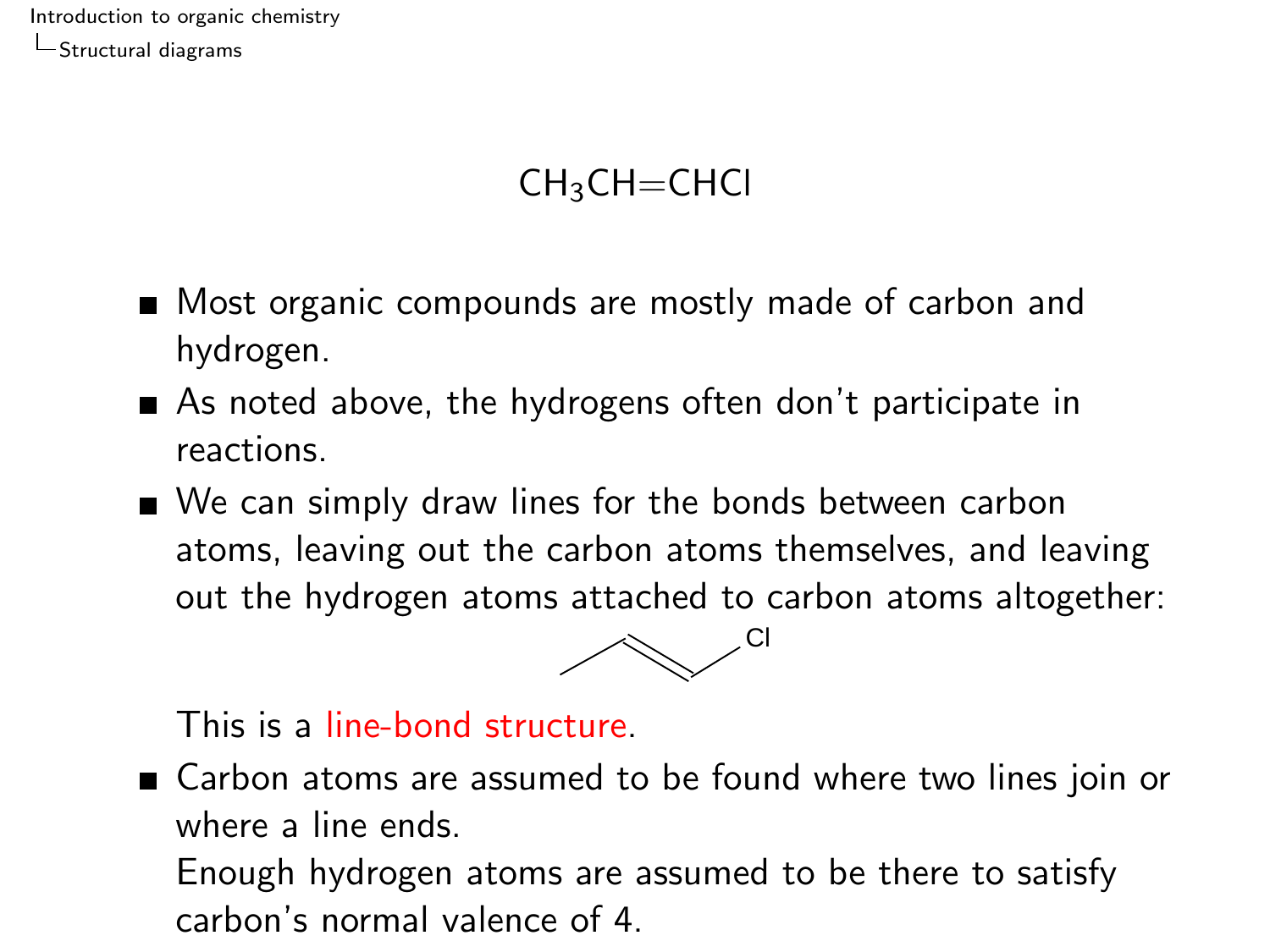#### $CH<sub>3</sub>CH=CHCl$

- Most organic compounds are mostly made of carbon and hydrogen.
- As noted above, the hydrogens often don't participate in reactions.
- We can simply draw lines for the bonds between carbon atoms, leaving out the carbon atoms themselves, and leaving out the hydrogen atoms attached to carbon atoms altogether:



This is a line-bond structure.

■ Carbon atoms are assumed to be found where two lines join or where a line ends.

Enough hydrogen atoms are assumed to be there to satisfy carbon's normal valence of 4.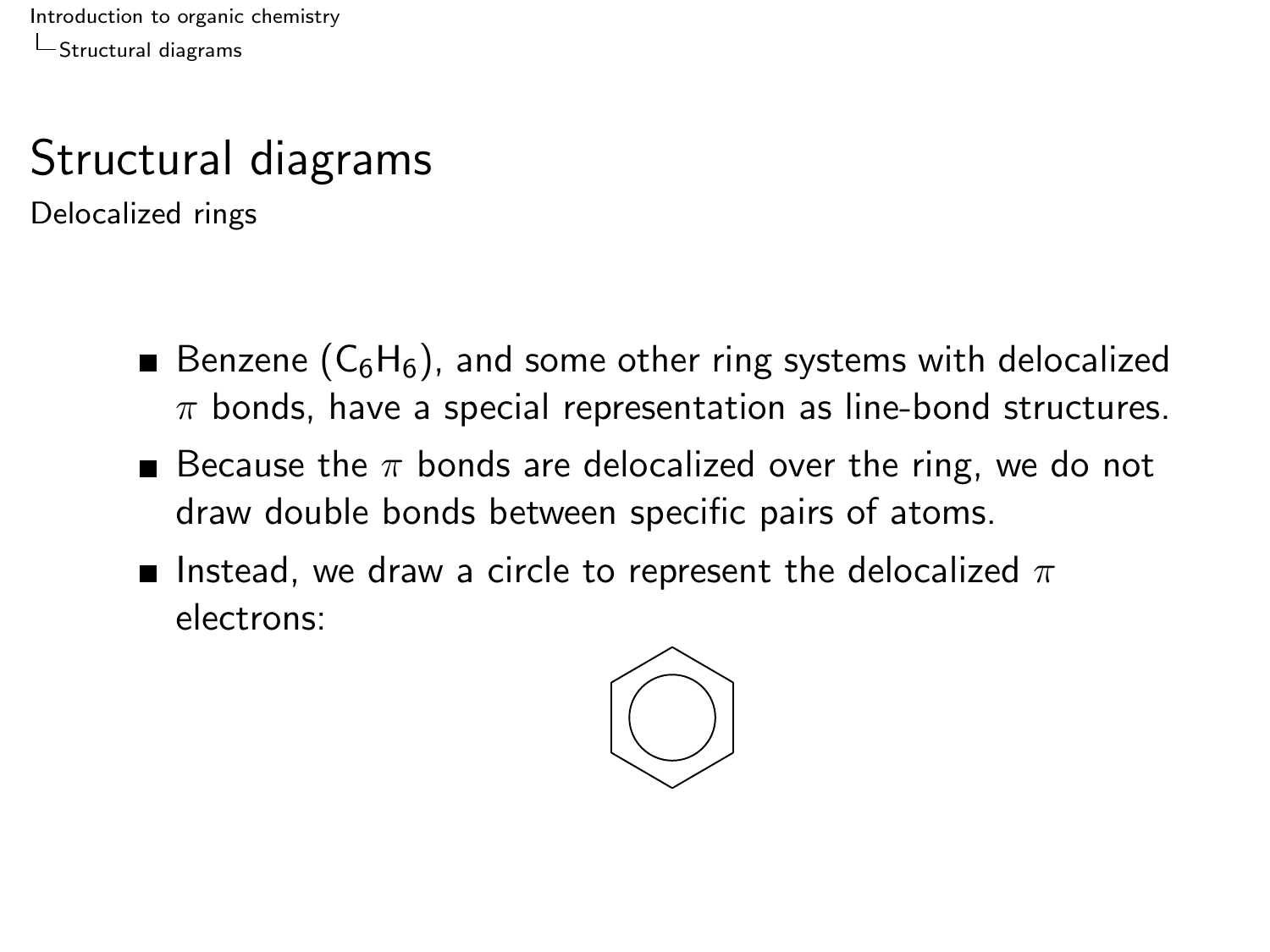# Structural diagrams

Delocalized rings

- Benzene  $(C_6H_6)$ , and some other ring systems with delocalized  $\pi$  bonds, have a special representation as line-bond structures.
- **Because the**  $\pi$  **bonds are delocalized over the ring, we do not** draw double bonds between specific pairs of atoms.
- **Instead, we draw a circle to represent the delocalized**  $\pi$ electrons:

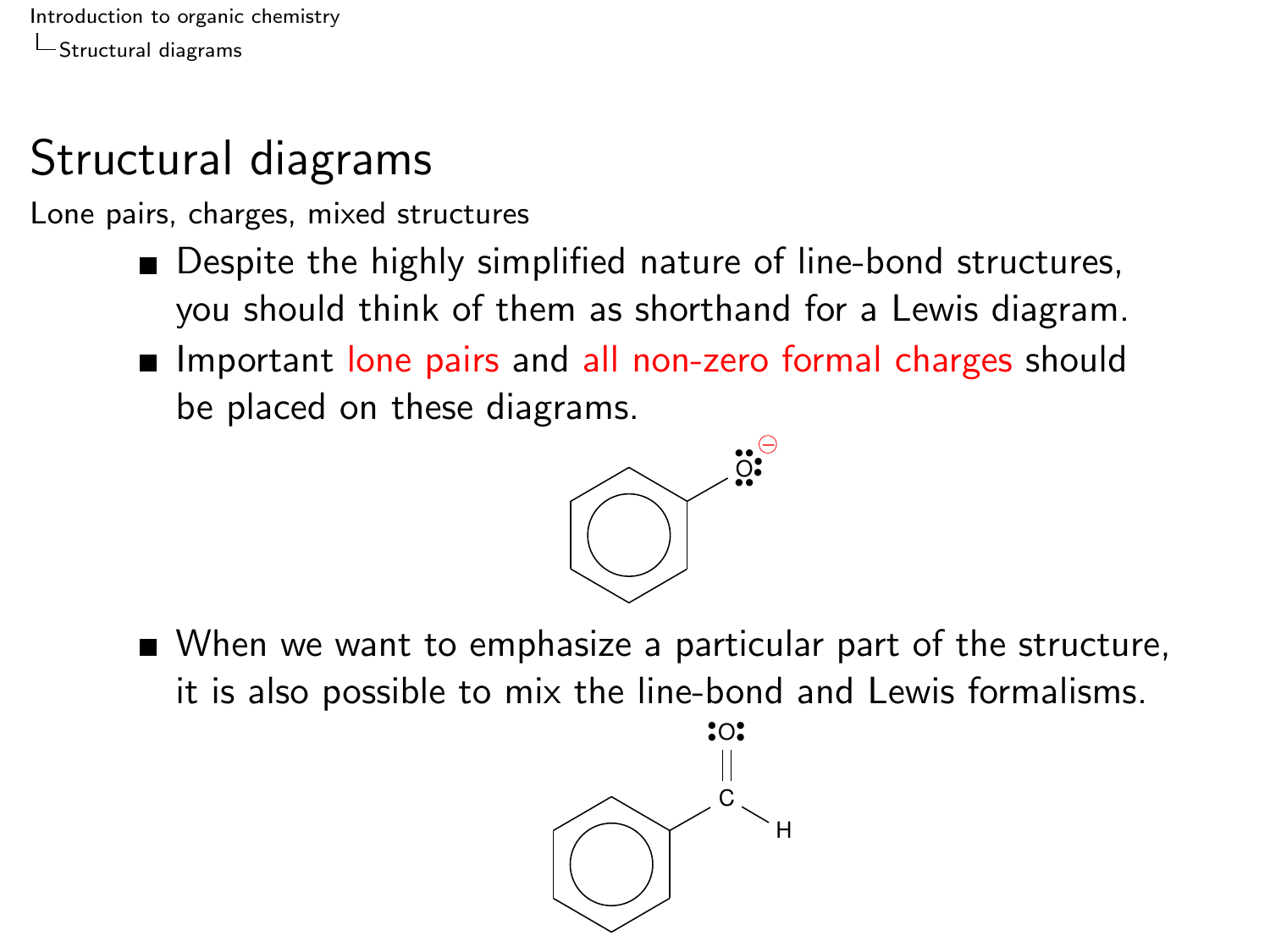# Structural diagrams

Lone pairs, charges, mixed structures

- Despite the highly simplified nature of line-bond structures, you should think of them as shorthand for a Lewis diagram.
- **IMPORTANT IMPORT IN THE PAIRT OF SHOULD FIGHT** Integrationbe placed on these diagrams.



■ When we want to emphasize a particular part of the structure, it is also possible to mix the line-bond and Lewis formalisms.

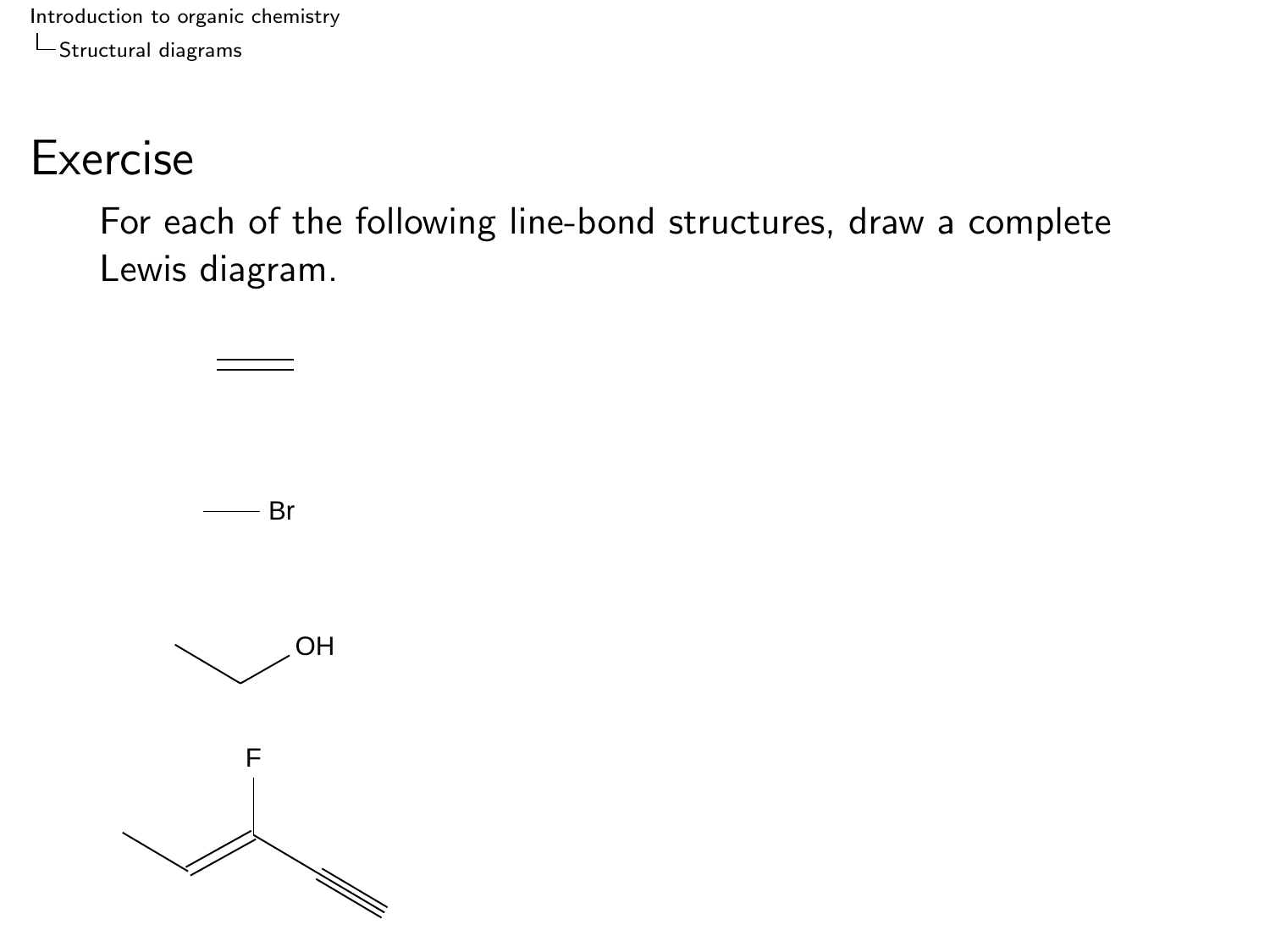#### Exercise

For each of the following line-bond structures, draw a complete Lewis diagram.

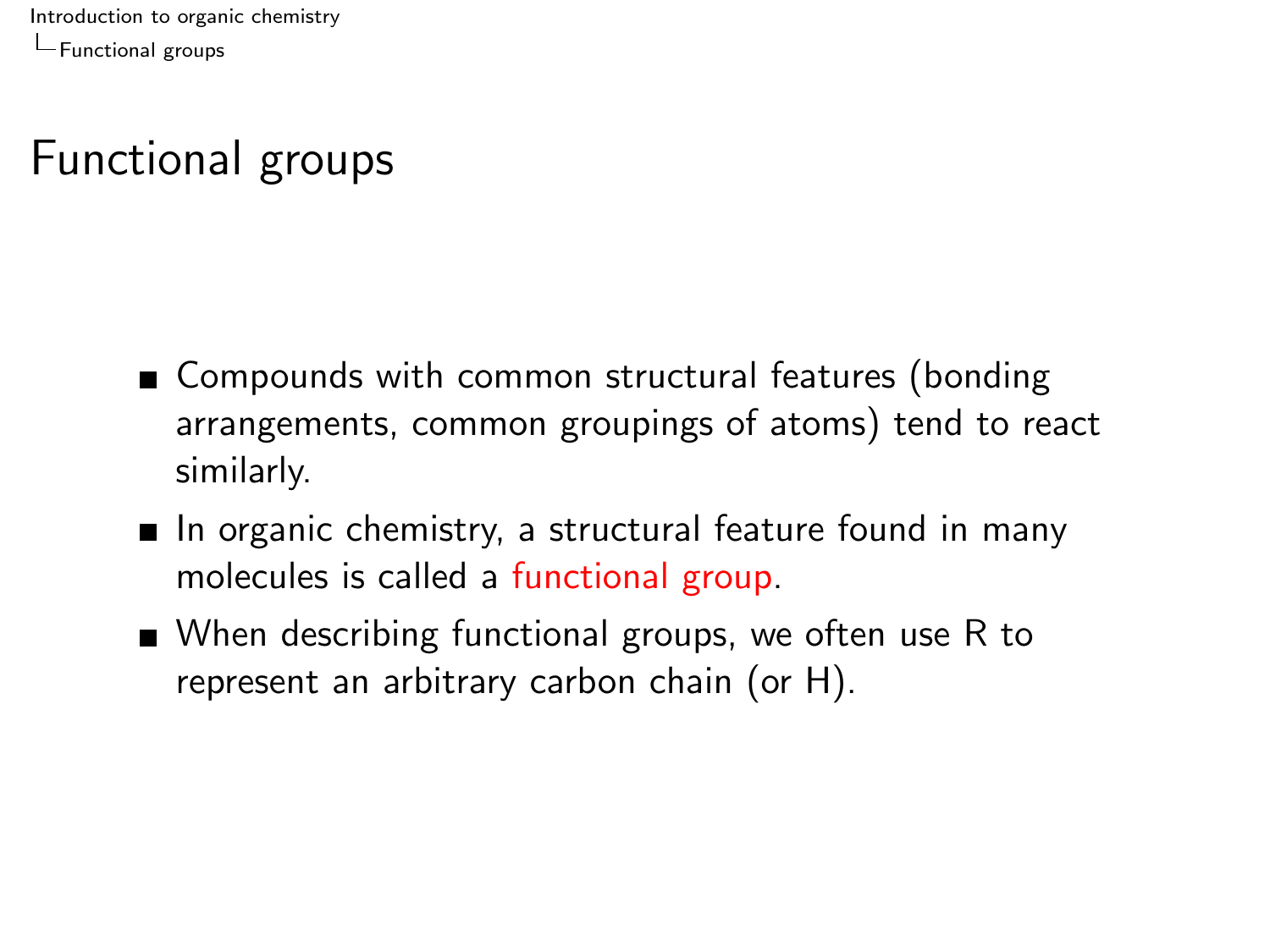<span id="page-8-0"></span>[Introduction to organic chemistry](#page-0-0) [Functional groups](#page-8-0)

# Functional groups

- Compounds with common structural features (bonding arrangements, common groupings of atoms) tend to react similarly.
- $\blacksquare$  In organic chemistry, a structural feature found in many molecules is called a functional group.
- When describing functional groups, we often use R to represent an arbitrary carbon chain (or H).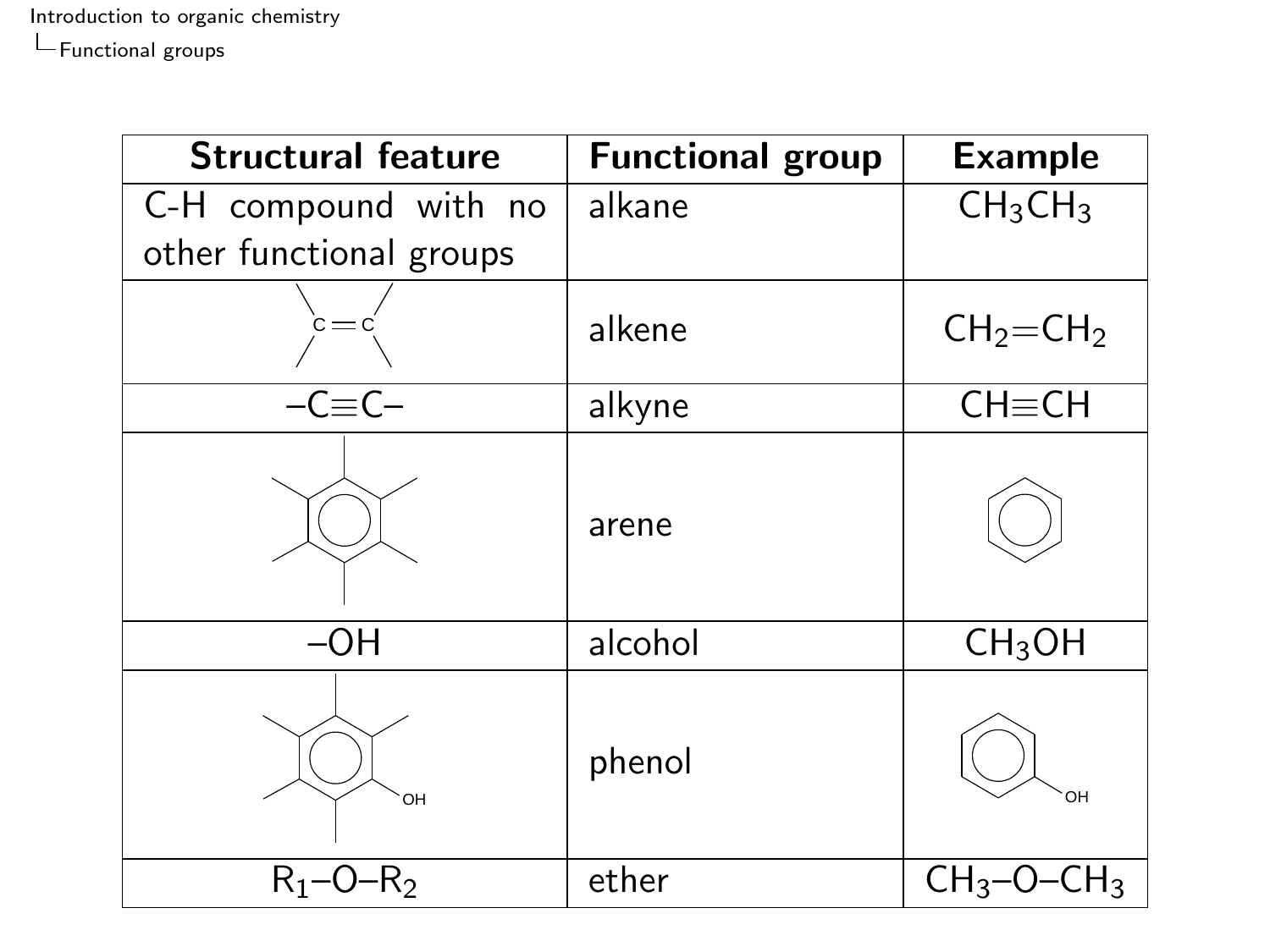$L$  [Functional groups](#page-8-0)

| <b>Structural feature</b> | <b>Functional group</b> | <b>Example</b>                  |
|---------------------------|-------------------------|---------------------------------|
| C-H compound with no      | alkane                  | CH <sub>3</sub> CH <sub>3</sub> |
| other functional groups   |                         |                                 |
|                           | alkene                  | $CH2=CH2$                       |
| $-C\equiv C-$             | alkyne                  | $CH \equiv CH$                  |
|                           | arene                   |                                 |
| $-OH$                     | alcohol                 | CH <sub>3</sub> OH              |
| OH                        | phenol                  | OH                              |
| $R_1 - 0$<br>۰R           | ether                   | CH <sub>3</sub><br>ั∟H∢         |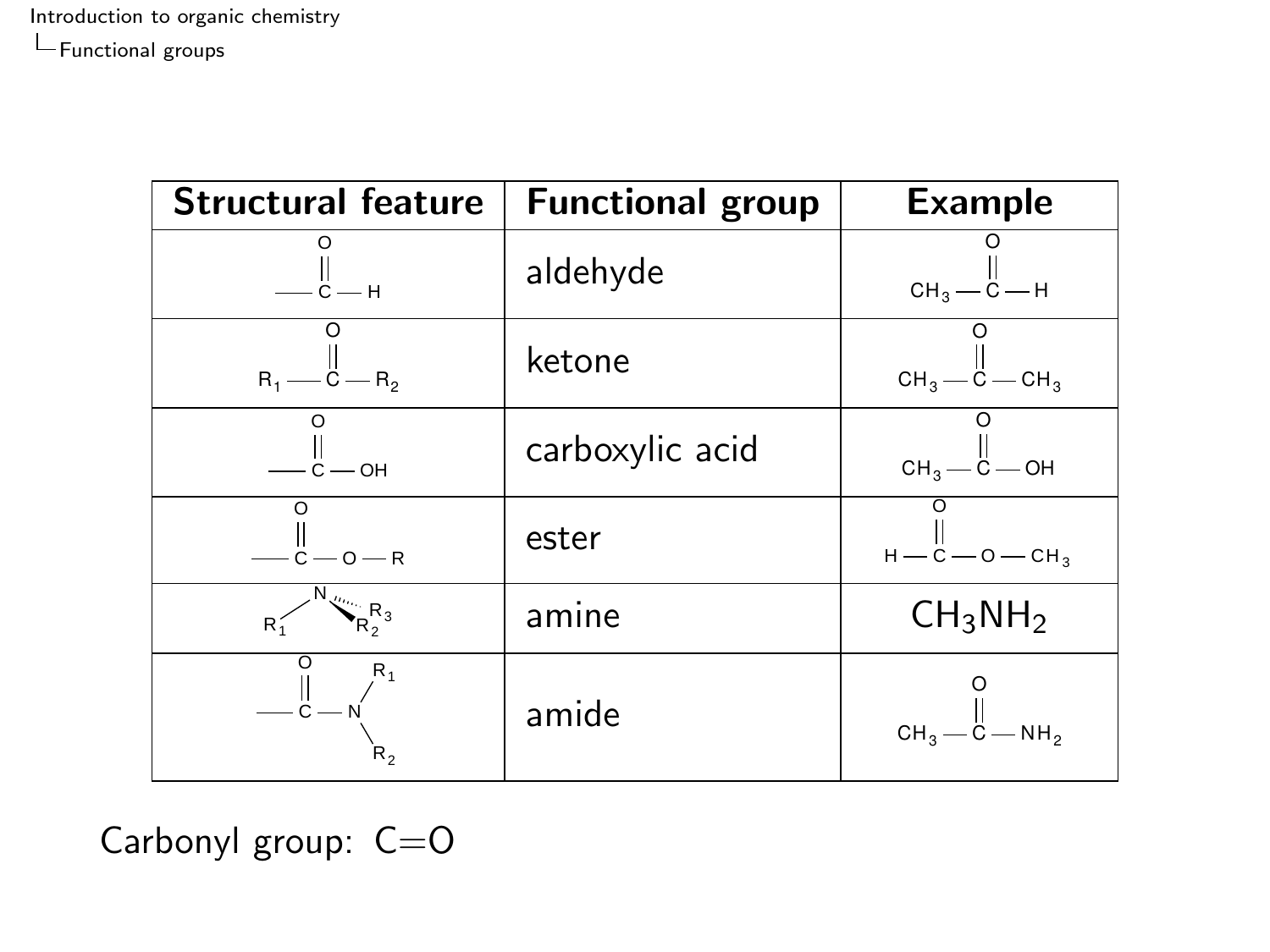| <b>Structural feature</b>                          | <b>Functional group</b> | <b>Example</b>                  |
|----------------------------------------------------|-------------------------|---------------------------------|
| — $\ddot{\mathsf{c}}$ — н                          | aldehyde                | $CH_3 - C - H$                  |
| $R_1 \longrightarrow \ddot{C} \longrightarrow R_2$ | ketone                  | $CH_3$ – $C$ – $CH_3$           |
| — $\ddot{c}$ — он                                  | carboxylic acid         | $CH_3 - C - OH$                 |
| $-c - 0 - R$                                       | ester                   | $H - C - O - CH3$               |
| $N_{R_2 R_3}$<br>$R_1^2$                           | amine                   | CH <sub>3</sub> NH <sub>2</sub> |
| $R_1$<br>– č —<br>$R_{2}$                          | amide                   | $CH_3 - C - NH_2$               |

Carbonyl group: C=O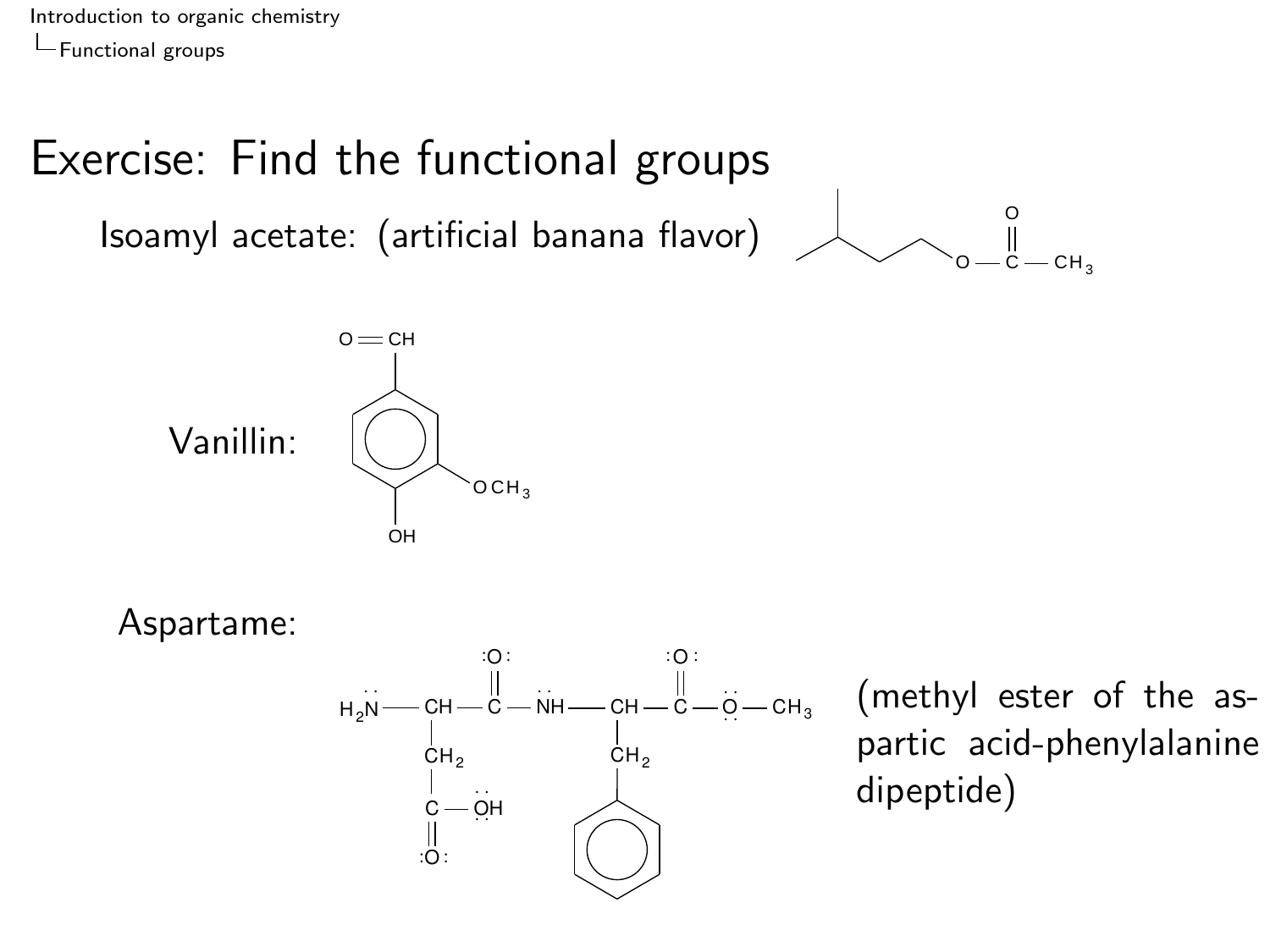[Introduction to organic chemistry](#page-0-0) [Functional groups](#page-8-0)

## Exercise: Find the functional groups

Isoamyl acetate: (artificial banana flavor)





Aspartame:



(methyl ester of the aspartic acid-phenylalanine dipeptide)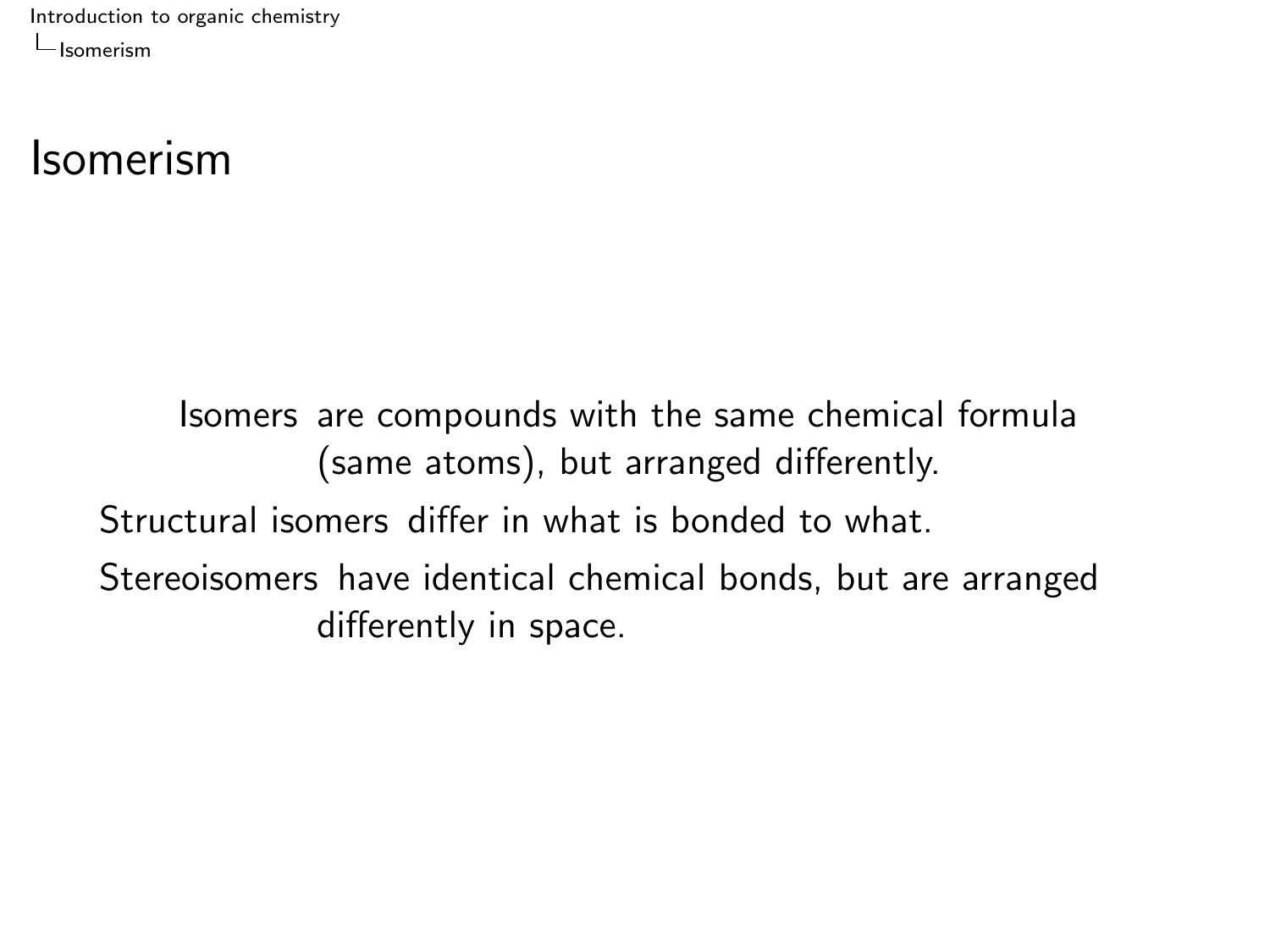#### <span id="page-12-0"></span>Isomerism

Isomers are compounds with the same chemical formula (same atoms), but arranged differently. Structural isomers differ in what is bonded to what. Stereoisomers have identical chemical bonds, but are arranged differently in space.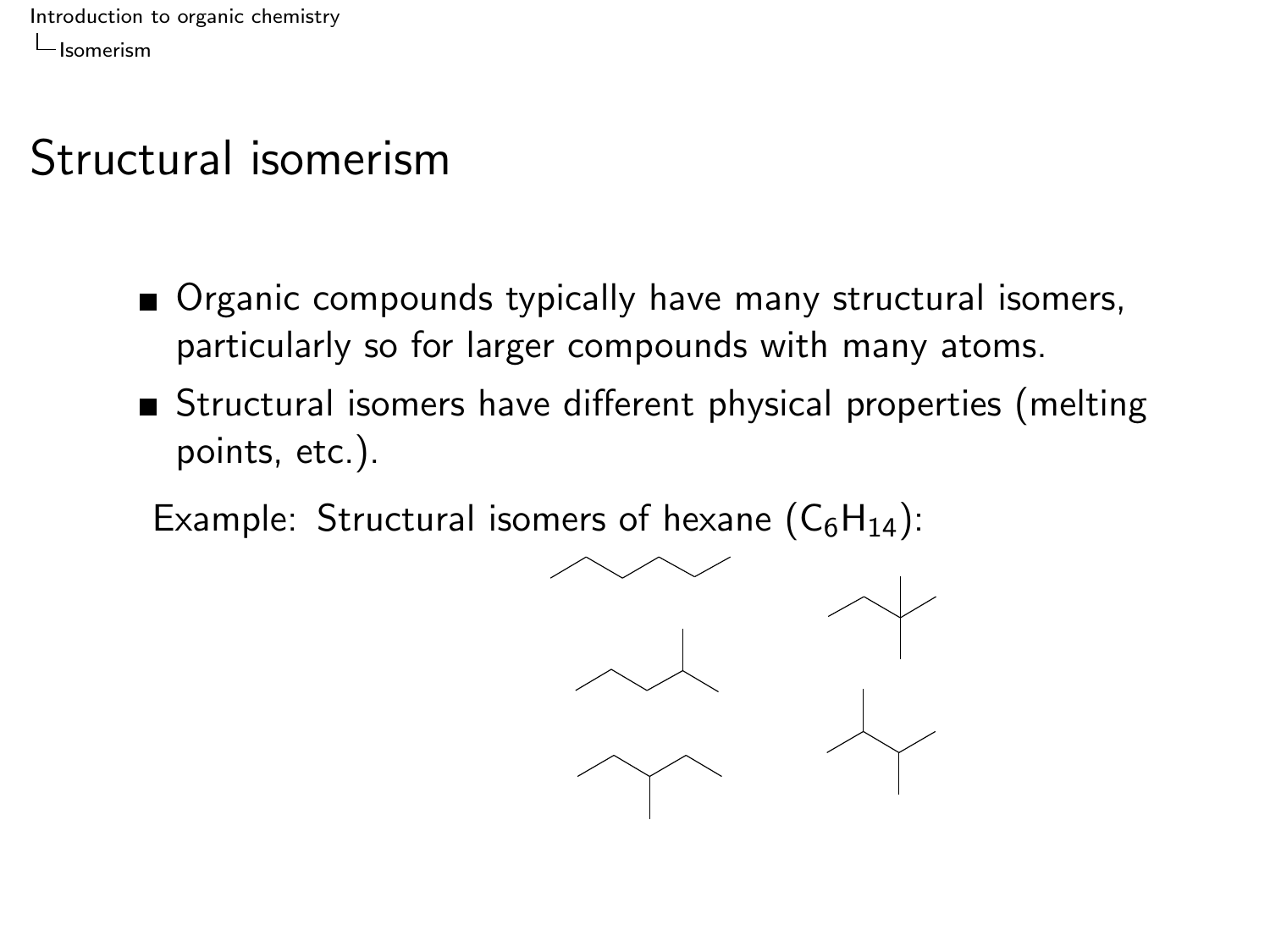### Structural isomerism

- **Organic compounds typically have many structural isomers,** particularly so for larger compounds with many atoms.
- Structural isomers have different physical properties (melting points, etc.).

Example: Structural isomers of hexane  $(C_6H_{14})$ :

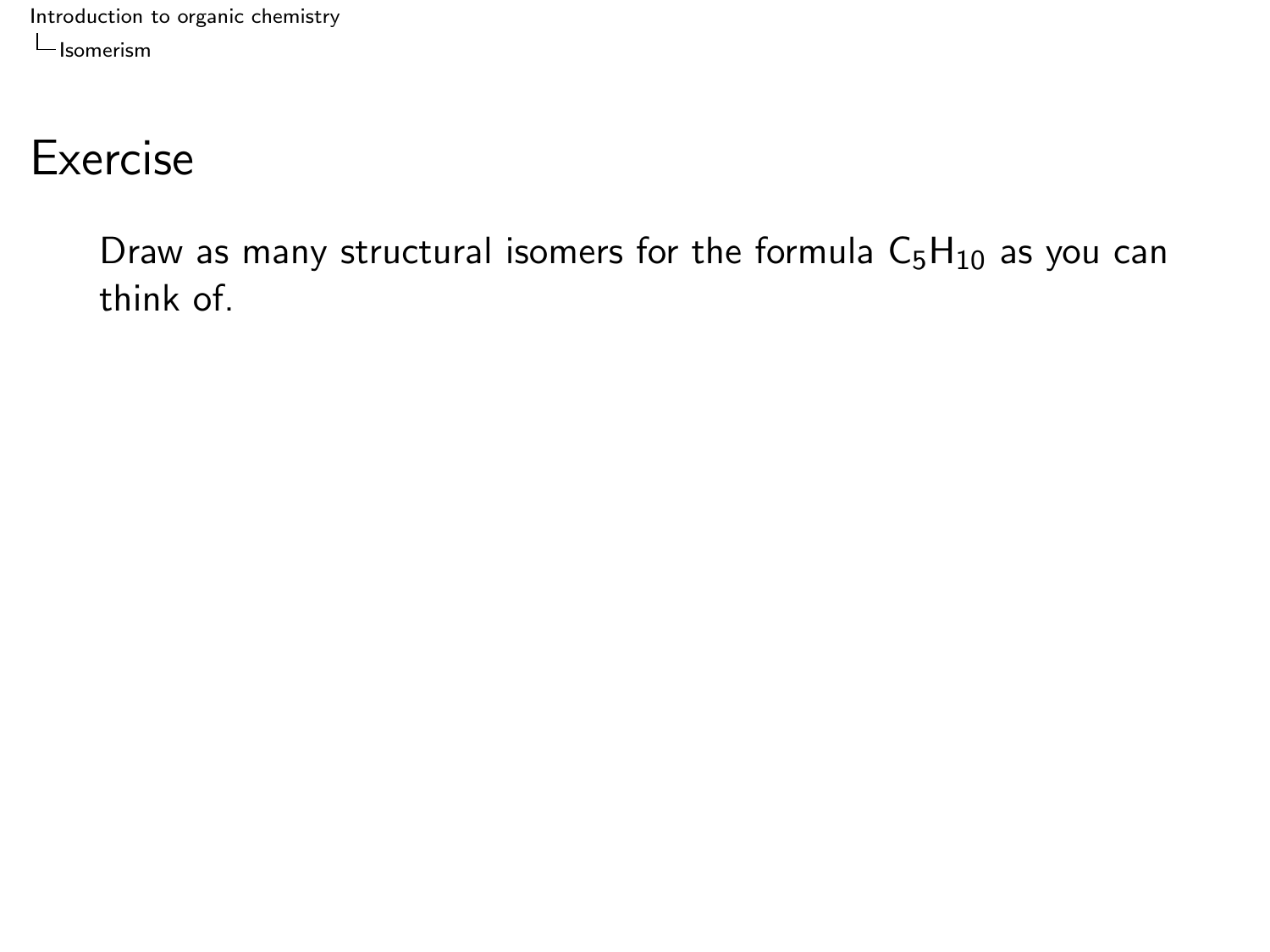#### **Exercise**

Draw as many structural isomers for the formula  $C_5H_{10}$  as you can think of.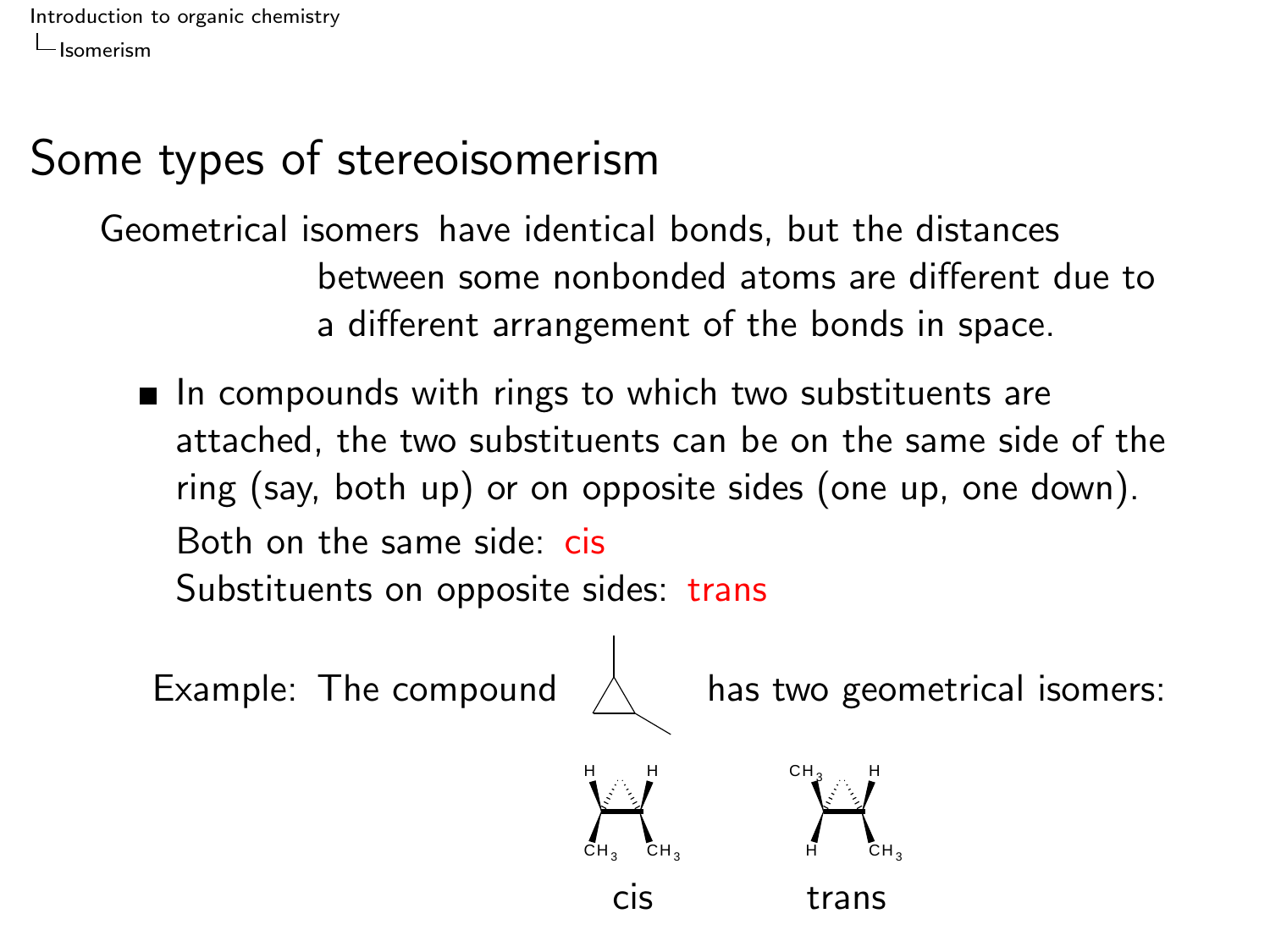#### Some types of stereoisomerism

Geometrical isomers have identical bonds, but the distances between some nonbonded atoms are different due to a different arrangement of the bonds in space.

 $\blacksquare$  In compounds with rings to which two substituents are attached, the two substituents can be on the same side of the ring (say, both up) or on opposite sides (one up, one down). Both on the same side: cis Substituents on opposite sides: trans

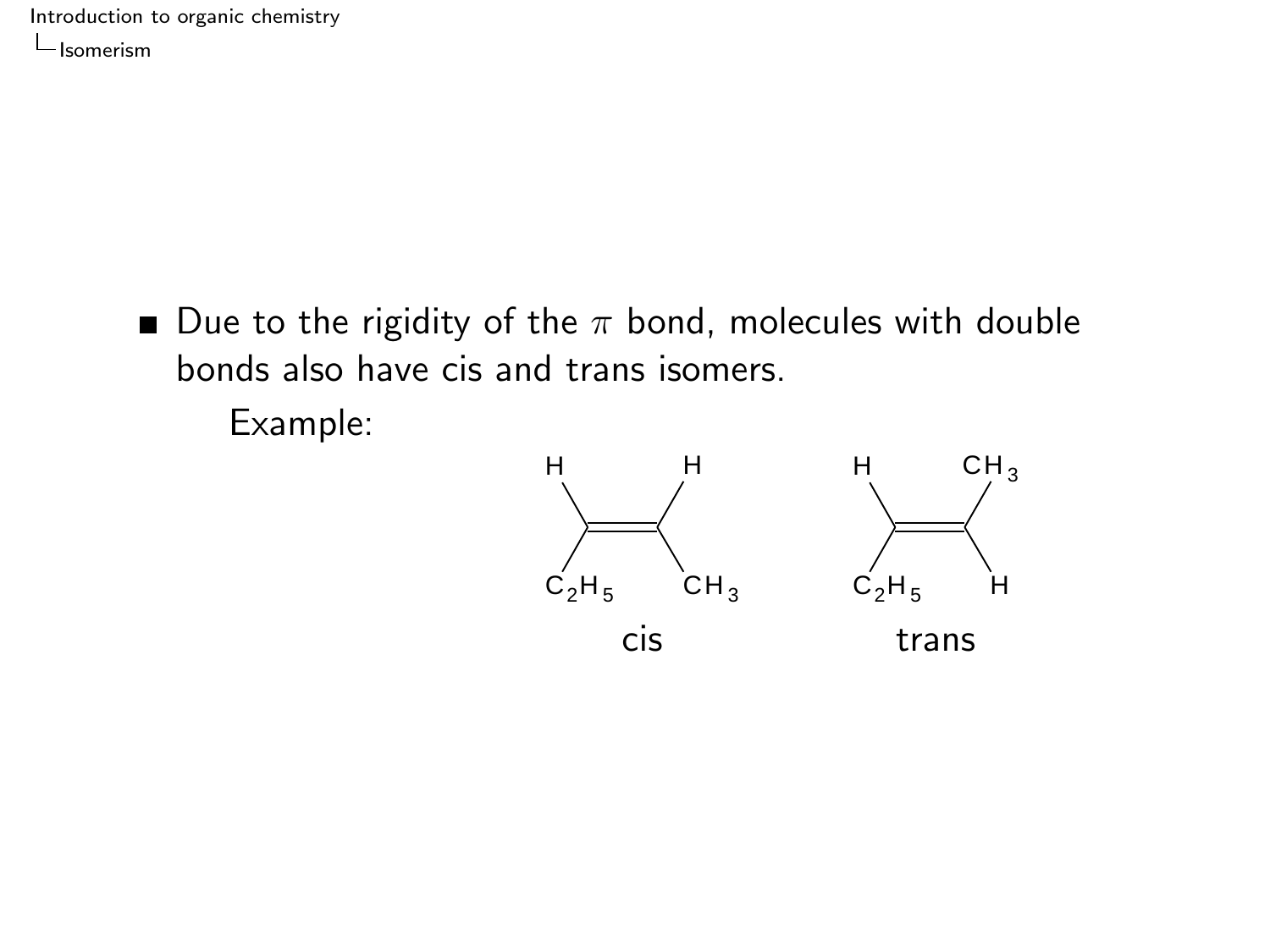> Due to the rigidity of the  $\pi$  bond, molecules with double bonds also have cis and trans isomers.

Example:

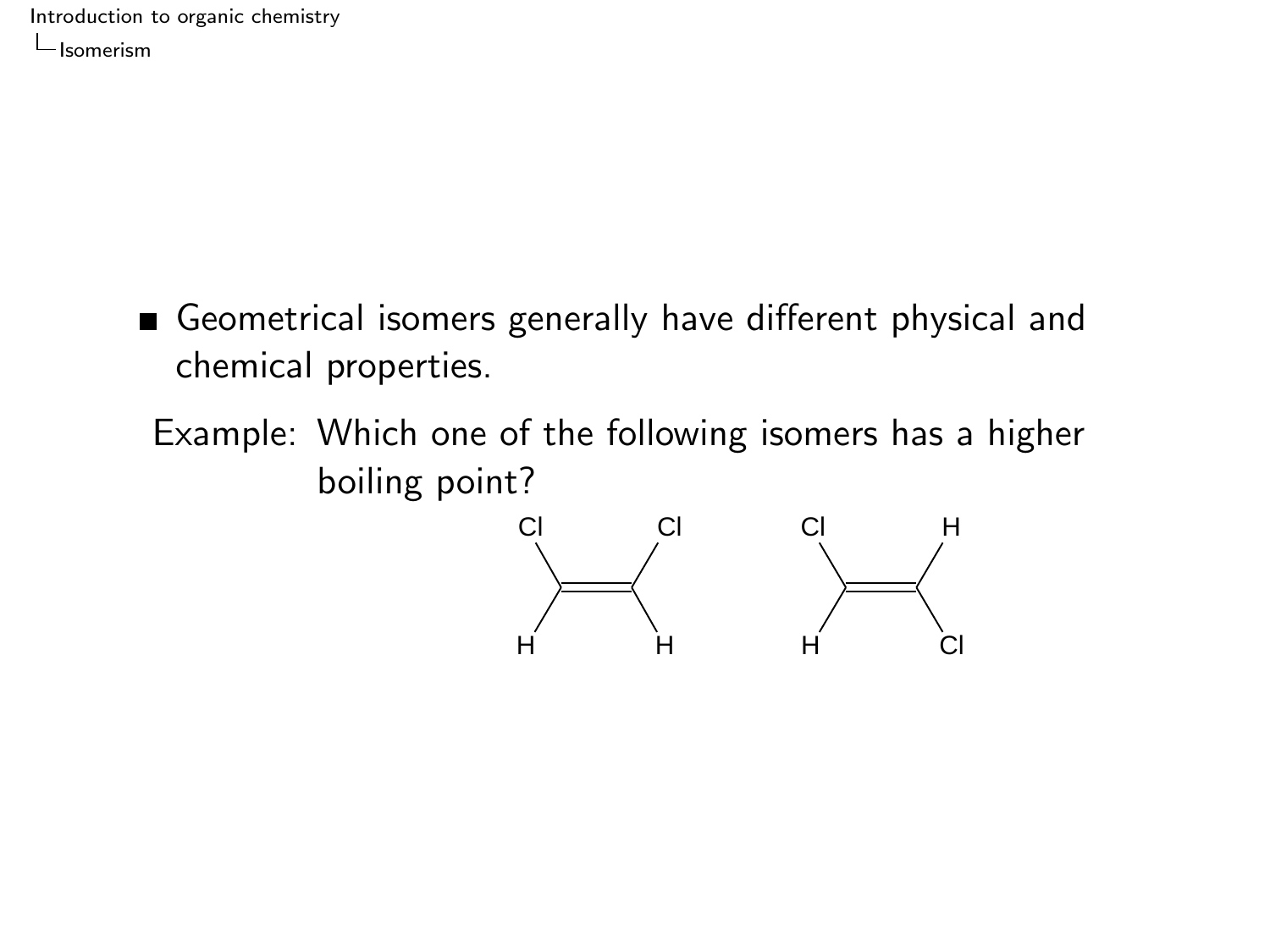- Geometrical isomers generally have different physical and chemical properties.
	- Example: Which one of the following isomers has a higher boiling point?

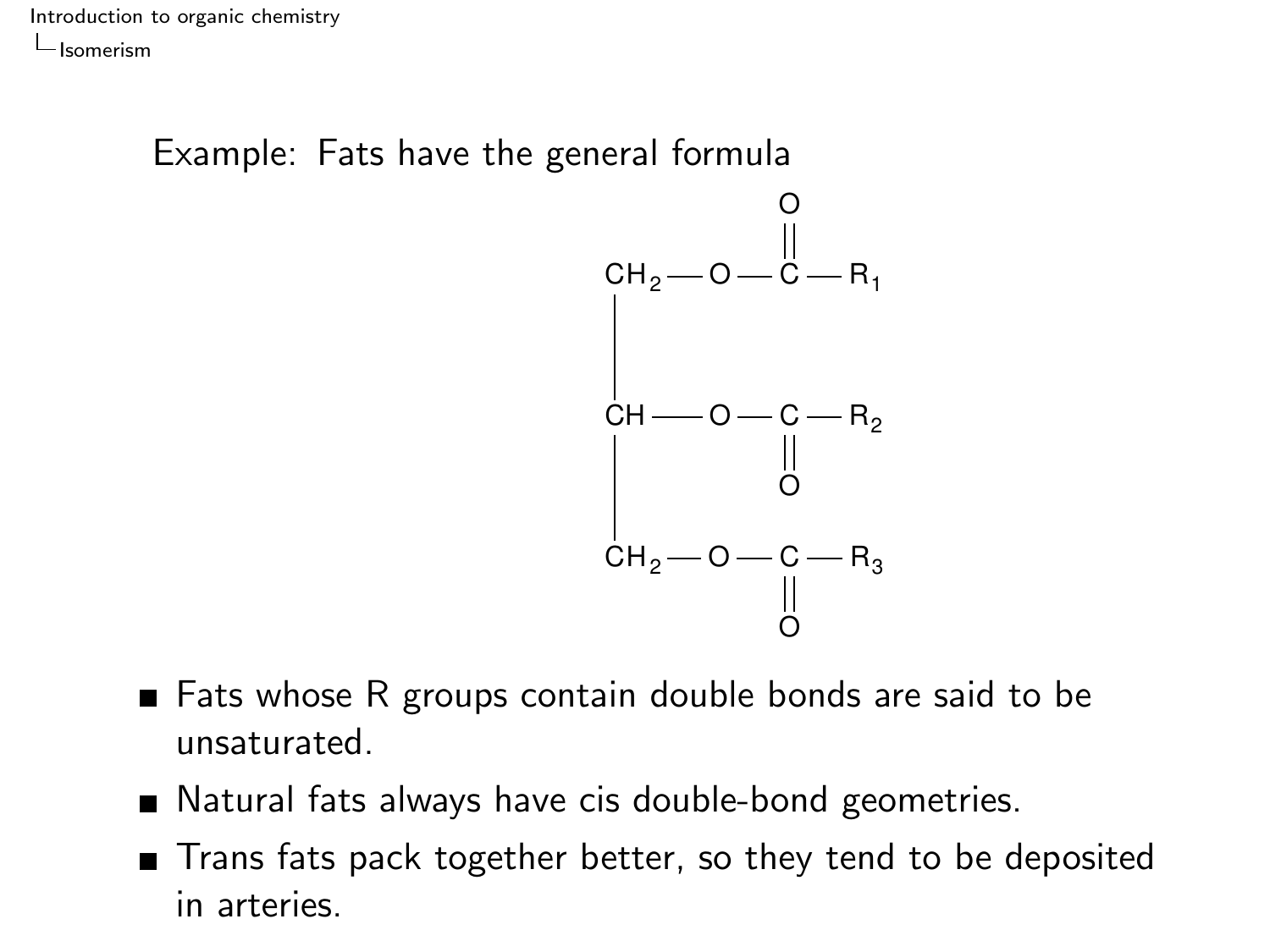Example: Fats have the general formula



- Fats whose R groups contain double bonds are said to be unsaturated.
- Natural fats always have cis double-bond geometries.
- Trans fats pack together better, so they tend to be deposited in arteries.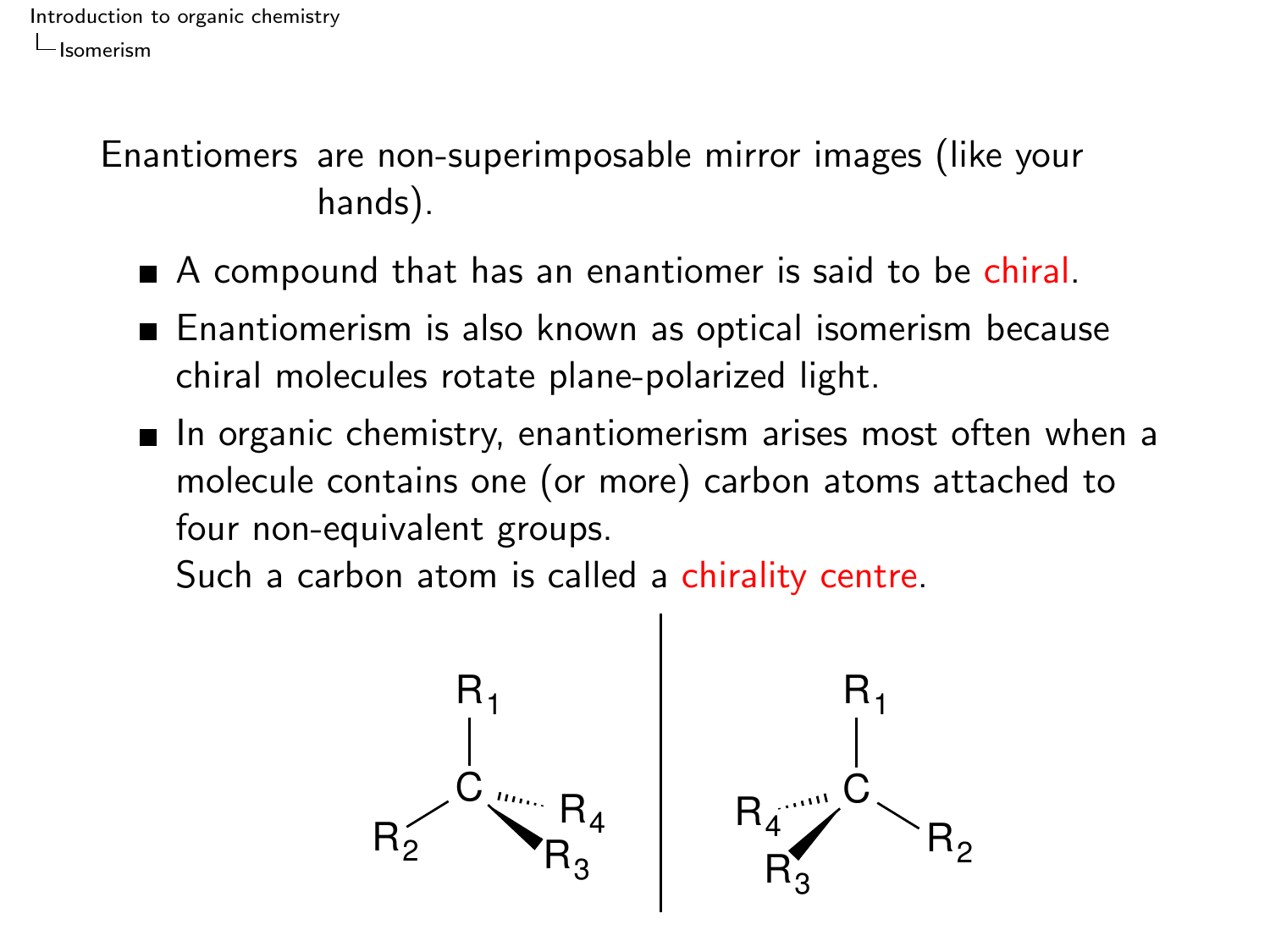Enantiomers are non-superimposable mirror images (like your hands).

- A compound that has an enantiomer is said to be chiral.
- Enantiomerism is also known as optical isomerism because chiral molecules rotate plane-polarized light.
- $\blacksquare$  In organic chemistry, enantiomerism arises most often when a molecule contains one (or more) carbon atoms attached to four non-equivalent groups.

Such a carbon atom is called a chirality centre.

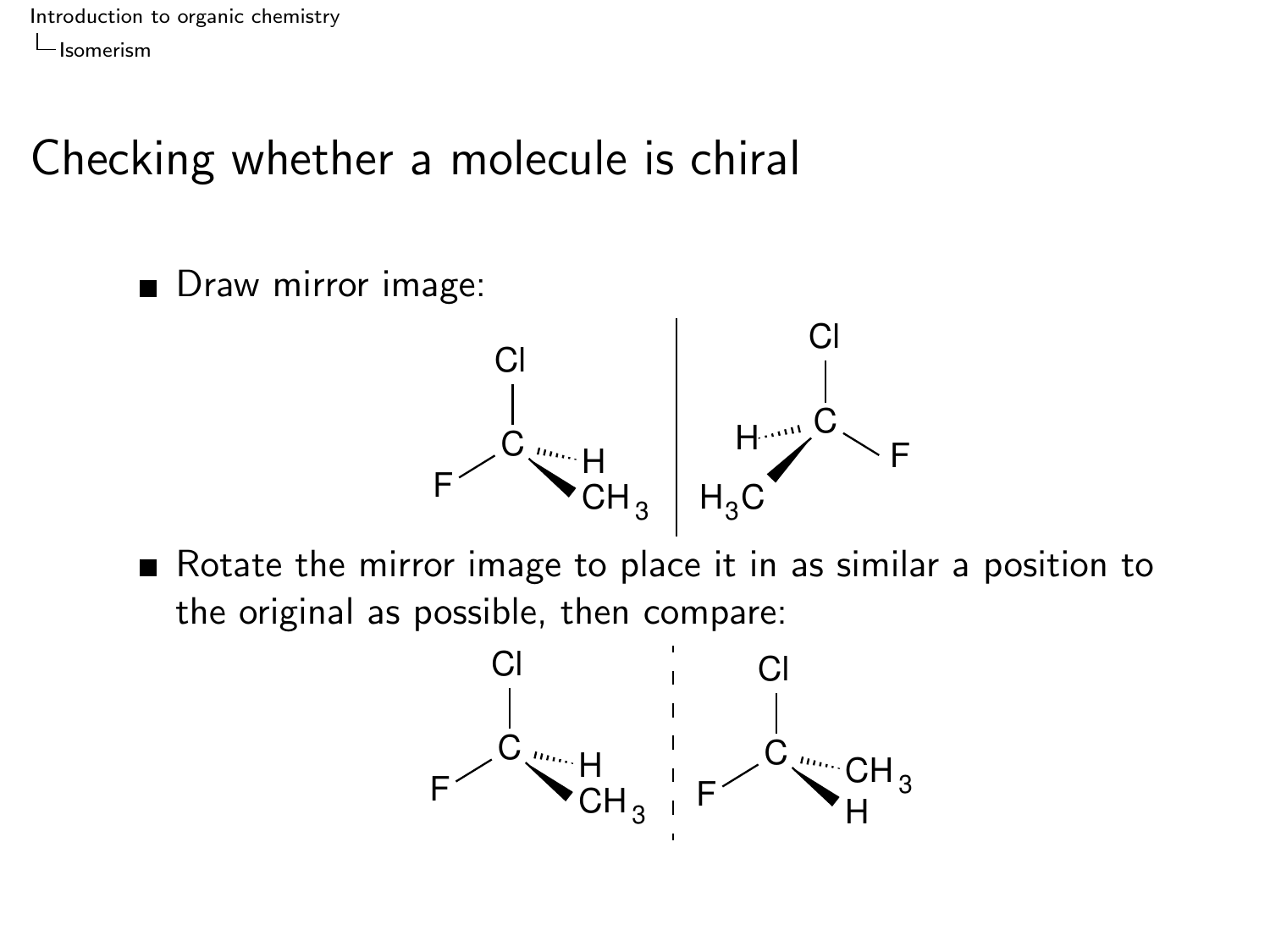### Checking whether a molecule is chiral

Draw mirror image:



Rotate the mirror image to place it in as similar a position to the original as possible, then compare:

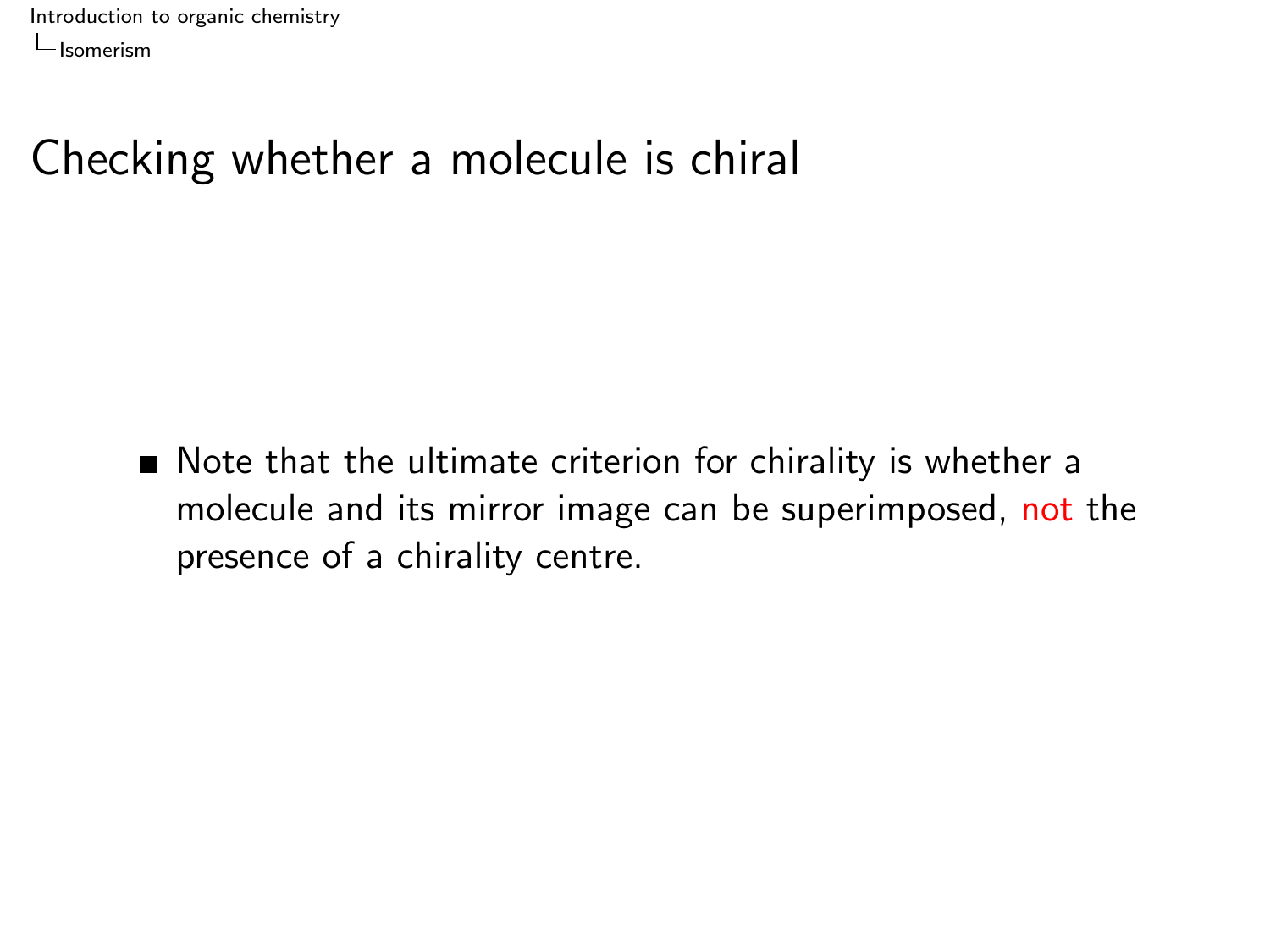## Checking whether a molecule is chiral

■ Note that the ultimate criterion for chirality is whether a molecule and its mirror image can be superimposed, not the presence of a chirality centre.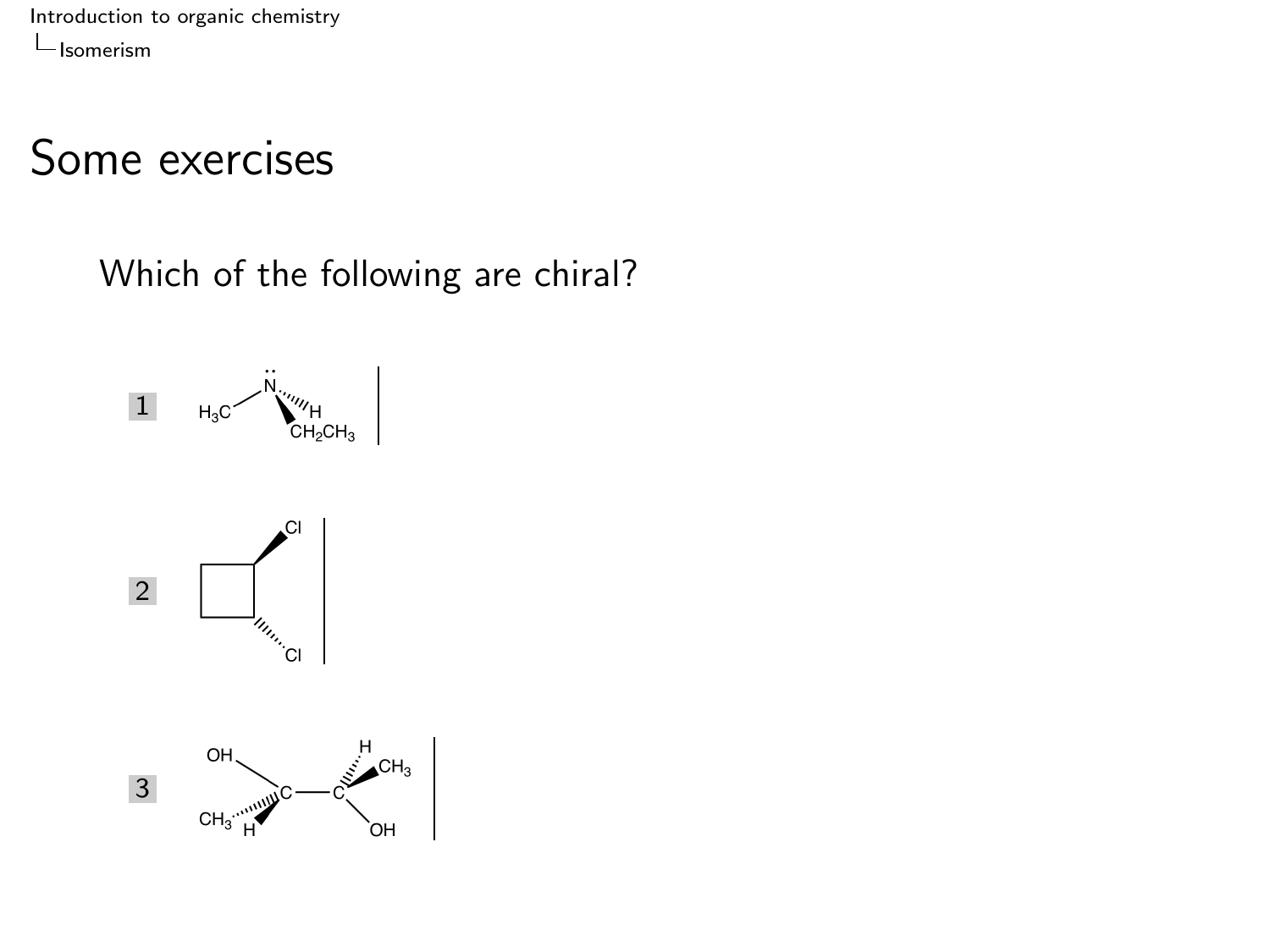#### Some exercises

Which of the following are chiral?